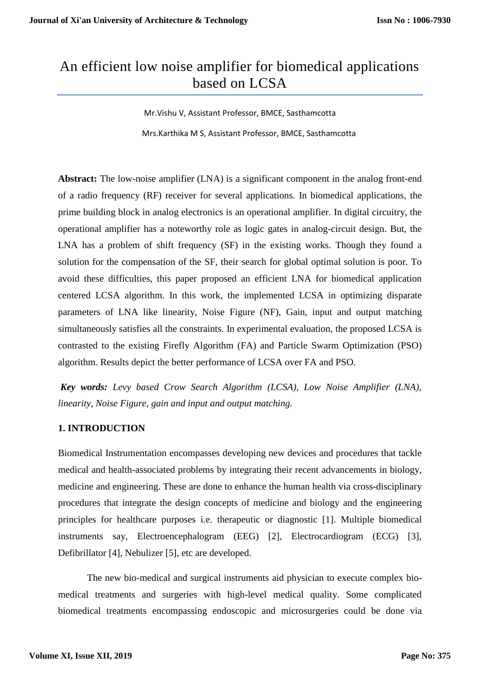# An efficient low noise amplifier for biomedical applications based on LCSA

Mr.Vishu V, Assistant Professor, BMCE, Sasthamcotta Mrs.Karthika M S, Assistant Professor, BMCE, Sasthamcotta

**Abstract:** The low-noise amplifier (LNA) is a significant component in the analog front-end of a radio frequency (RF) receiver for several applications. In biomedical applications, the prime building block in analog electronics is an operational amplifier. In digital circuitry, the operational amplifier has a noteworthy role as logic gates in analog-circuit design. But, the LNA has a problem of shift frequency (SF) in the existing works. Though they found a solution for the compensation of the SF, their search for global optimal solution is poor. To avoid these difficulties, this paper proposed an efficient LNA for biomedical application centered LCSA algorithm. In this work, the implemented LCSA in optimizing disparate parameters of LNA like linearity, Noise Figure (NF), Gain, input and output matching simultaneously satisfies all the constraints. In experimental evaluation, the proposed LCSA is contrasted to the existing Firefly Algorithm (FA) and Particle Swarm Optimization (PSO) algorithm. Results depict the better performance of LCSA over FA and PSO.

*Key words: Levy based Crow Search Algorithm (LCSA), Low Noise Amplifier (LNA), linearity, Noise Figure, gain and input and output matching.*

# **1. INTRODUCTION**

Biomedical Instrumentation encompasses developing new devices and procedures that tackle medical and health-associated problems by integrating their recent advancements in biology, medicine and engineering. These are done to enhance the human health via cross-disciplinary procedures that integrate the design concepts of medicine and biology and the engineering principles for healthcare purposes i.e. therapeutic or diagnostic [1]. Multiple biomedical instruments say, Electroencephalogram (EEG) [2], Electrocardiogram (ECG) [3], Defibrillator [4], Nebulizer [5], etc are developed.

The new bio-medical and surgical instruments aid physician to execute complex biomedical treatments and surgeries with high-level medical quality. Some complicated biomedical treatments encompassing endoscopic and microsurgeries could be done via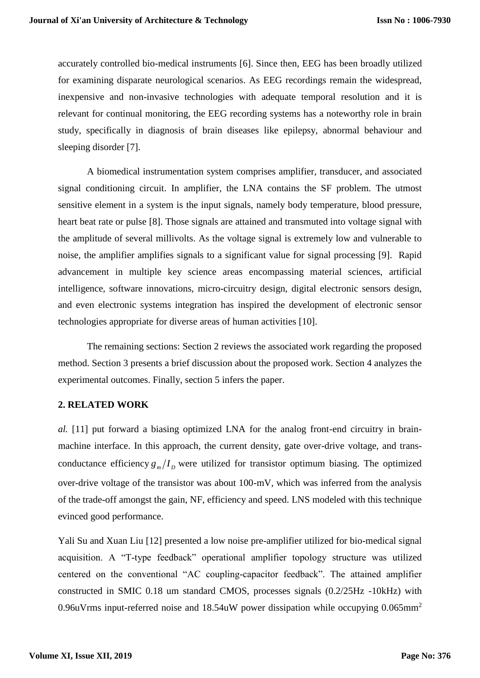accurately controlled bio-medical instruments [6]. Since then, EEG has been broadly utilized for examining disparate neurological scenarios. As EEG recordings remain the widespread, inexpensive and non-invasive technologies with adequate temporal resolution and it is relevant for continual monitoring, the EEG recording systems has a noteworthy role in brain study, specifically in diagnosis of brain diseases like epilepsy, abnormal behaviour and sleeping disorder [7].

A biomedical instrumentation system comprises amplifier, transducer, and associated signal conditioning circuit. In amplifier, the LNA contains the SF problem. The utmost sensitive element in a system is the input signals, namely body temperature, blood pressure, heart beat rate or pulse [8]. Those signals are attained and transmuted into voltage signal with the amplitude of several millivolts. As the voltage signal is extremely low and vulnerable to noise, the amplifier amplifies signals to a significant value for signal processing [9]. Rapid advancement in multiple key science areas encompassing material sciences, artificial intelligence, software innovations, micro-circuitry design, digital electronic sensors design, and even electronic systems integration has inspired the development of electronic sensor technologies appropriate for diverse areas of human activities [10].

The remaining sections: Section 2 reviews the associated work regarding the proposed method. Section 3 presents a brief discussion about the proposed work. Section 4 analyzes the experimental outcomes. Finally, section 5 infers the paper.

#### **2. RELATED WORK**

*al.* [11] put forward a biasing optimized LNA for the analog front-end circuitry in brainmachine interface. In this approach, the current density, gate over-drive voltage, and transconductance efficiency  $g_m/I_D$  were utilized for transistor optimum biasing. The optimized over-drive voltage of the transistor was about 100-mV, which was inferred from the analysis of the trade-off amongst the gain, NF, efficiency and speed. LNS modeled with this technique evinced good performance.

Yali Su and Xuan Liu [12] presented a low noise pre-amplifier utilized for bio-medical signal acquisition. A "T-type feedback" operational amplifier topology structure was utilized centered on the conventional "AC coupling-capacitor feedback". The attained amplifier constructed in SMIC 0.18 um standard CMOS, processes signals (0.2/25Hz -10kHz) with 0.96uVrms input-referred noise and  $18.54$ uW power dissipation while occupying 0.065mm<sup>2</sup>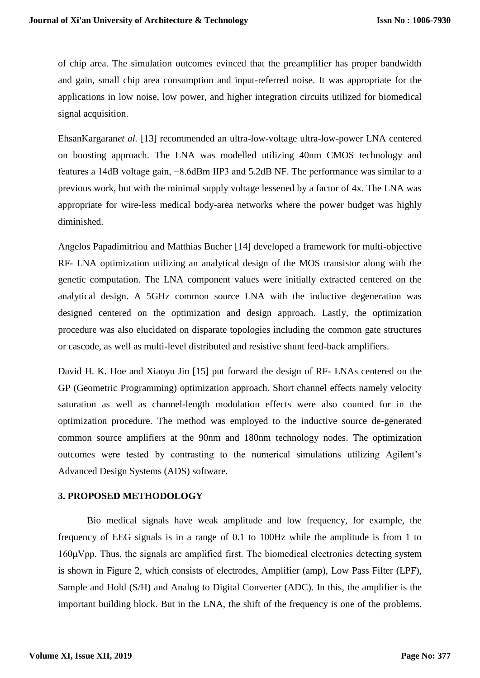of chip area. The simulation outcomes evinced that the preamplifier has proper bandwidth and gain, small chip area consumption and input-referred noise. It was appropriate for the applications in low noise, low power, and higher integration circuits utilized for biomedical signal acquisition.

EhsanKargaran*et al.* [13] recommended an ultra-low-voltage ultra-low-power LNA centered on boosting approach. The LNA was modelled utilizing 40nm CMOS technology and features a 14dB voltage gain, −8.6dBm IIP3 and 5.2dB NF. The performance was similar to a previous work, but with the minimal supply voltage lessened by a factor of 4x. The LNA was appropriate for wire-less medical body-area networks where the power budget was highly diminished.

Angelos Papadimitriou and Matthias Bucher [14] developed a framework for multi-objective RF- LNA optimization utilizing an analytical design of the MOS transistor along with the genetic computation. The LNA component values were initially extracted centered on the analytical design. A 5GHz common source LNA with the inductive degeneration was designed centered on the optimization and design approach. Lastly, the optimization procedure was also elucidated on disparate topologies including the common gate structures or cascode, as well as multi-level distributed and resistive shunt feed-back amplifiers.

David H. K. Hoe and Xiaoyu Jin [15] put forward the design of RF- LNAs centered on the GP (Geometric Programming) optimization approach. Short channel effects namely velocity saturation as well as channel-length modulation effects were also counted for in the optimization procedure. The method was employed to the inductive source de-generated common source amplifiers at the 90nm and 180nm technology nodes. The optimization outcomes were tested by contrasting to the numerical simulations utilizing Agilent's Advanced Design Systems (ADS) software.

## **3. PROPOSED METHODOLOGY**

Bio medical signals have weak amplitude and low frequency, for example, the frequency of EEG signals is in a range of 0.1 to 100Hz while the amplitude is from 1 to 160μVpp. Thus, the signals are amplified first. The biomedical electronics detecting system is shown in Figure 2, which consists of electrodes, Amplifier (amp), Low Pass Filter (LPF), Sample and Hold (S/H) and Analog to Digital Converter (ADC). In this, the amplifier is the important building block. But in the LNA, the shift of the frequency is one of the problems.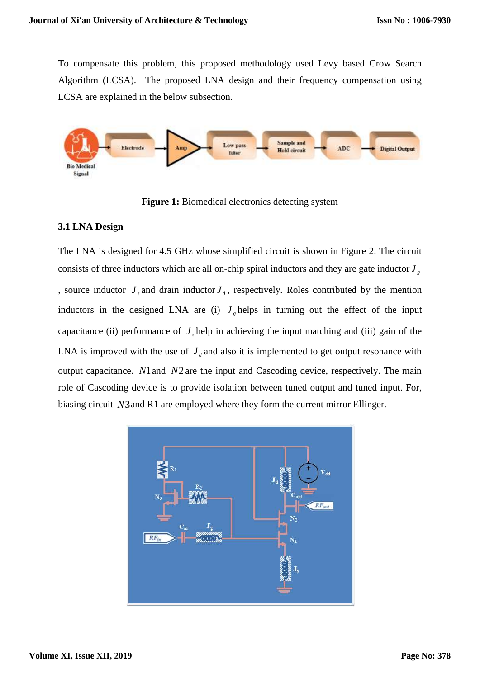To compensate this problem, this proposed methodology used Levy based Crow Search Algorithm (LCSA). The proposed LNA design and their frequency compensation using LCSA are explained in the below subsection.



**Figure 1:** Biomedical electronics detecting system

# **3.1 LNA Design**

The LNA is designed for 4.5 GHz whose simplified circuit is shown in Figure 2. The circuit consists of three inductors which are all on-chip spiral inductors and they are gate inductor  $J<sub>g</sub>$ , source inductor  $J<sub>s</sub>$  and drain inductor  $J<sub>d</sub>$ , respectively. Roles contributed by the mention inductors in the designed LNA are (i)  $J<sub>g</sub>$  helps in turning out the effect of the input capacitance (ii) performance of  $J<sub>s</sub>$  help in achieving the input matching and (iii) gain of the LNA is improved with the use of  $J_d$  and also it is implemented to get output resonance with output capacitance. *N*1 and *N2* are the input and Cascoding device, respectively. The main role of Cascoding device is to provide isolation between tuned output and tuned input. For, biasing circuit *N*3 and R1 are employed where they form the current mirror Ellinger.

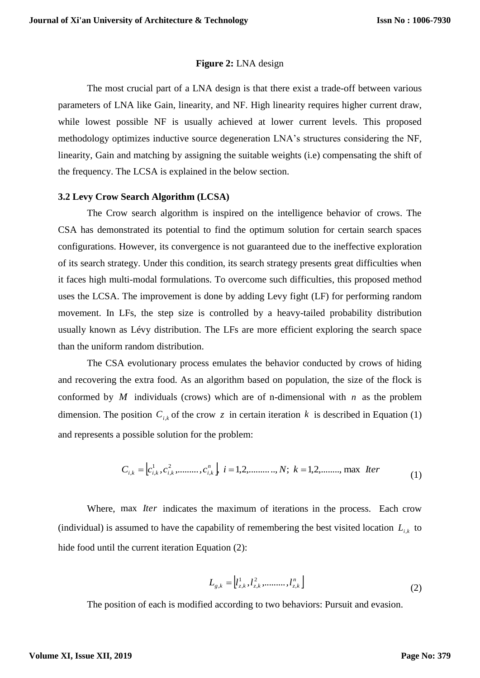#### **Figure 2:** LNA design

The most crucial part of a LNA design is that there exist a trade-off between various parameters of LNA like Gain, linearity, and NF. High linearity requires higher current draw, while lowest possible NF is usually achieved at lower current levels. This proposed methodology optimizes inductive source degeneration LNA's structures considering the NF, linearity, Gain and matching by assigning the suitable weights (i.e) compensating the shift of the frequency. The LCSA is explained in the below section.

#### **3.2 Levy Crow Search Algorithm (LCSA)**

The Crow search algorithm is inspired on the intelligence behavior of crows. The CSA has demonstrated its potential to find the optimum solution for certain search spaces configurations. However, its convergence is not guaranteed due to the ineffective exploration of its search strategy. Under this condition, its search strategy presents great difficulties when it faces high multi-modal formulations. To overcome such difficulties, this proposed method uses the LCSA. The improvement is done by adding Levy fight (LF) for performing random movement. In LFs, the step size is controlled by a heavy-tailed probability distribution usually known as Lévy distribution. The LFs are more efficient exploring the search space than the uniform random distribution.

The CSA evolutionary process emulates the behavior conducted by crows of hiding and recovering the extra food. As an algorithm based on population, the size of the flock is conformed by  $M$  individuals (crows) which are of n-dimensional with  $n$  as the problem dimension. The position  $C_{i,k}$  of the crow z in certain iteration k is described in Equation (1) and represents a possible solution for the problem:

$$
C_{i,k} = \left[c_{i,k}^1, c_{i,k}^2, \dots, c_{i,k}^n\right] \quad i = 1, 2, \dots, N; \quad k = 1, 2, \dots, \text{max} \quad \text{Iter}
$$
 (1)

Where, max *Iter* indicates the maximum of iterations in the process. Each crow (individual) is assumed to have the capability of remembering the best visited location  $L_{i,k}$  to hide food until the current iteration Equation (2):

$$
L_{g,k} = \left[ l_{z,k}^1, l_{z,k}^2, \dots, l_{z,k}^n \right]
$$
 (2)

The position of each is modified according to two behaviors: Pursuit and evasion.

#### **Volume XI, Issue XII, 2019**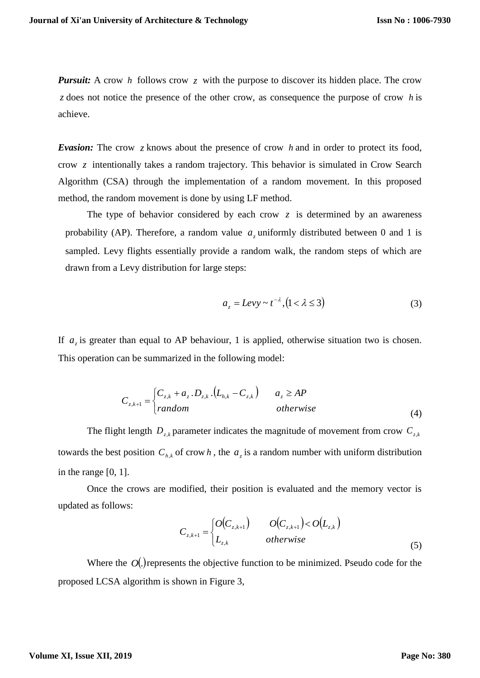*Pursuit:* A crow h follows crow z with the purpose to discover its hidden place. The crow z does not notice the presence of the other crow, as consequence the purpose of crow h is achieve.

**Evasion:** The crow z knows about the presence of crow h and in order to protect its food, crow *z* intentionally takes a random trajectory. This behavior is simulated in Crow Search Algorithm (CSA) through the implementation of a random movement. In this proposed method, the random movement is done by using LF method.

The type of behavior considered by each crow  $z$  is determined by an awareness probability (AP). Therefore, a random value  $a_z$  uniformly distributed between 0 and 1 is sampled. Levy flights essentially provide a random walk, the random steps of which are drawn from a Levy distribution for large steps:

$$
a_z = L \, \text{evy} \sim t^{-\lambda}, \left(1 < \lambda \le 3\right) \tag{3}
$$

If  $a_z$  is greater than equal to AP behaviour, 1 is applied, otherwise situation two is chosen. This operation can be summarized in the following model:

$$
C_{z,k+1} = \begin{cases} C_{z,k} + a_z \cdot D_{z,k} \cdot (L_{h,k} - C_{z,k}) & a_z \ge AP \\ random & otherwise \end{cases}
$$
 (4)

The flight length  $D_{z,k}$  parameter indicates the magnitude of movement from crow  $C_{z,k}$ towards the best position  $C_{h,k}$  of crow h, the  $a_z$  is a random number with uniform distribution in the range [0, 1].

Once the crows are modified, their position is evaluated and the memory vector is updated as follows:

$$
C_{z,k+1} = \begin{cases} O(C_{z,k+1}) & O(C_{z,k+1}) < O(L_{z,k}) \\ L_{z,k} & otherwise \end{cases}
$$
(5)

Where the  $O(.)$  represents the objective function to be minimized. Pseudo code for the proposed LCSA algorithm is shown in Figure 3,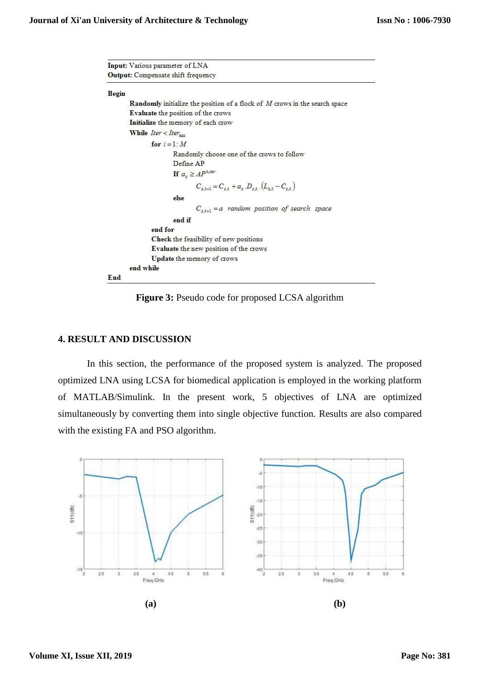| Input: Various parameter of LNA                                                                      |
|------------------------------------------------------------------------------------------------------|
| <b>Output:</b> Compensate shift frequency                                                            |
| <b>Begin</b>                                                                                         |
| <b>Randomly</b> initialize the position of a flock of M crows in the search space                    |
| <b>Evaluate</b> the position of the crows                                                            |
| Initialize the memory of each crow                                                                   |
| While $Iter < iter_{\text{max}}$                                                                     |
| for $i=1:M$                                                                                          |
| Randomly choose one of the crows to follow                                                           |
| Define AP                                                                                            |
| <b>If</b> $a_z \geq AP^{\lambda$ , iter                                                              |
| $C_{\text{stat}} = C_{\text{est}} + a_{\text{est}} D_{\text{est}} (L_{\text{est}} - C_{\text{est}})$ |
| else                                                                                                 |
| $C_{z,k+1} = a$ random position of search space                                                      |
| end if                                                                                               |
| end for                                                                                              |
| <b>Check</b> the feasibility of new positions                                                        |
| <b>Evaluate</b> the new position of the crows                                                        |
| <b>Update the memory of crows</b>                                                                    |
| end while                                                                                            |
| End                                                                                                  |

**Figure 3:** Pseudo code for proposed LCSA algorithm

### **4. RESULT AND DISCUSSION**

In this section, the performance of the proposed system is analyzed. The proposed optimized LNA using LCSA for biomedical application is employed in the working platform of MATLAB/Simulink. In the present work, 5 objectives of LNA are optimized simultaneously by converting them into single objective function. Results are also compared with the existing FA and PSO algorithm.

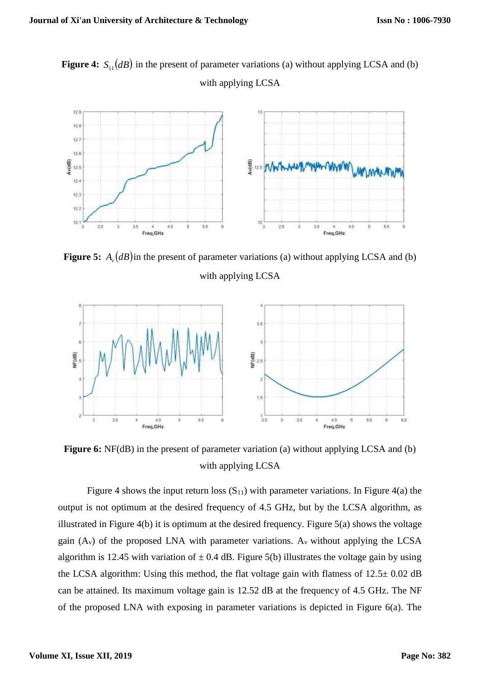**Figure 4:**  $S_{11}(dB)$  in the present of parameter variations (a) without applying LCSA and (b) with applying LCSA



**Figure 5:**  $A_{\nu}(dB)$  in the present of parameter variations (a) without applying LCSA and (b) with applying LCSA



**Figure 6:** NF(dB) in the present of parameter variation (a) without applying LCSA and (b) with applying LCSA

Figure 4 shows the input return loss  $(S_{11})$  with parameter variations. In Figure 4(a) the output is not optimum at the desired frequency of 4.5 GHz, but by the LCSA algorithm, as illustrated in Figure 4(b) it is optimum at the desired frequency. Figure 5(a) shows the voltage gain  $(A_v)$  of the proposed LNA with parameter variations.  $A_v$  without applying the LCSA algorithm is 12.45 with variation of  $\pm$  0.4 dB. Figure 5(b) illustrates the voltage gain by using the LCSA algorithm: Using this method, the flat voltage gain with flatness of  $12.5 \pm 0.02$  dB can be attained. Its maximum voltage gain is 12.52 dB at the frequency of 4.5 GHz. The NF of the proposed LNA with exposing in parameter variations is depicted in Figure 6(a). The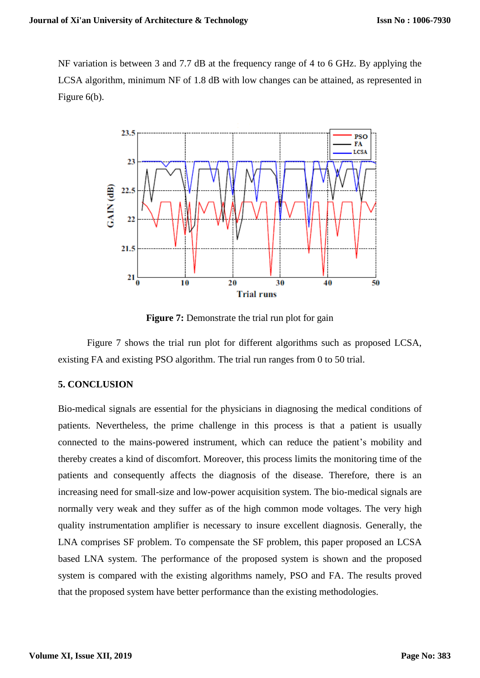NF variation is between 3 and 7.7 dB at the frequency range of 4 to 6 GHz. By applying the LCSA algorithm, minimum NF of 1.8 dB with low changes can be attained, as represented in Figure 6(b).



**Figure 7:** Demonstrate the trial run plot for gain

Figure 7 shows the trial run plot for different algorithms such as proposed LCSA, existing FA and existing PSO algorithm. The trial run ranges from 0 to 50 trial.

## **5. CONCLUSION**

Bio-medical signals are essential for the physicians in diagnosing the medical conditions of patients. Nevertheless, the prime challenge in this process is that a patient is usually connected to the mains-powered instrument, which can reduce the patient's mobility and thereby creates a kind of discomfort. Moreover, this process limits the monitoring time of the patients and consequently affects the diagnosis of the disease. Therefore, there is an increasing need for small-size and low-power acquisition system. The bio-medical signals are normally very weak and they suffer as of the high common mode voltages. The very high quality instrumentation amplifier is necessary to insure excellent diagnosis. Generally, the LNA comprises SF problem. To compensate the SF problem, this paper proposed an LCSA based LNA system. The performance of the proposed system is shown and the proposed system is compared with the existing algorithms namely, PSO and FA. The results proved that the proposed system have better performance than the existing methodologies.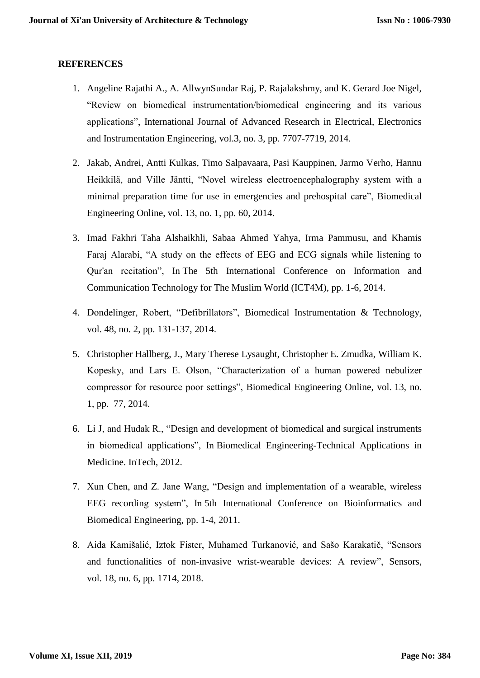## **REFERENCES**

- 1. Angeline Rajathi A., A. AllwynSundar Raj, P. Rajalakshmy, and K. Gerard Joe Nigel, "Review on biomedical instrumentation/biomedical engineering and its various applications", International Journal of Advanced Research in Electrical, Electronics and Instrumentation Engineering, vol.3, no. 3, pp. 7707-7719, 2014.
- 2. Jakab, Andrei, Antti Kulkas, Timo Salpavaara, Pasi Kauppinen, Jarmo Verho, Hannu Heikkilä, and Ville Jäntti, "Novel wireless electroencephalography system with a minimal preparation time for use in emergencies and prehospital care", Biomedical Engineering Online, vol. 13, no. 1, pp. 60, 2014.
- 3. Imad Fakhri Taha Alshaikhli, Sabaa Ahmed Yahya, Irma Pammusu, and Khamis Faraj Alarabi, "A study on the effects of EEG and ECG signals while listening to Qur'an recitation", In The 5th International Conference on Information and Communication Technology for The Muslim World (ICT4M), pp. 1-6, 2014.
- 4. Dondelinger, Robert, "Defibrillators", Biomedical Instrumentation & Technology, vol. 48, no. 2, pp. 131-137, 2014.
- 5. Christopher Hallberg, J., Mary Therese Lysaught, Christopher E. Zmudka, William K. Kopesky, and Lars E. Olson, "Characterization of a human powered nebulizer compressor for resource poor settings", Biomedical Engineering Online, vol. 13, no. 1, pp. 77, 2014.
- 6. Li J, and Hudak R., "Design and development of biomedical and surgical instruments in biomedical applications", In Biomedical Engineering-Technical Applications in Medicine. InTech, 2012.
- 7. Xun Chen, and Z. Jane Wang, "Design and implementation of a wearable, wireless EEG recording system", In 5th International Conference on Bioinformatics and Biomedical Engineering, pp. 1-4, 2011.
- 8. Aida Kamišalić, Iztok Fister, Muhamed Turkanović, and Sašo Karakatič, "Sensors and functionalities of non-invasive wrist-wearable devices: A review", Sensors, vol. 18, no. 6, pp. 1714, 2018.